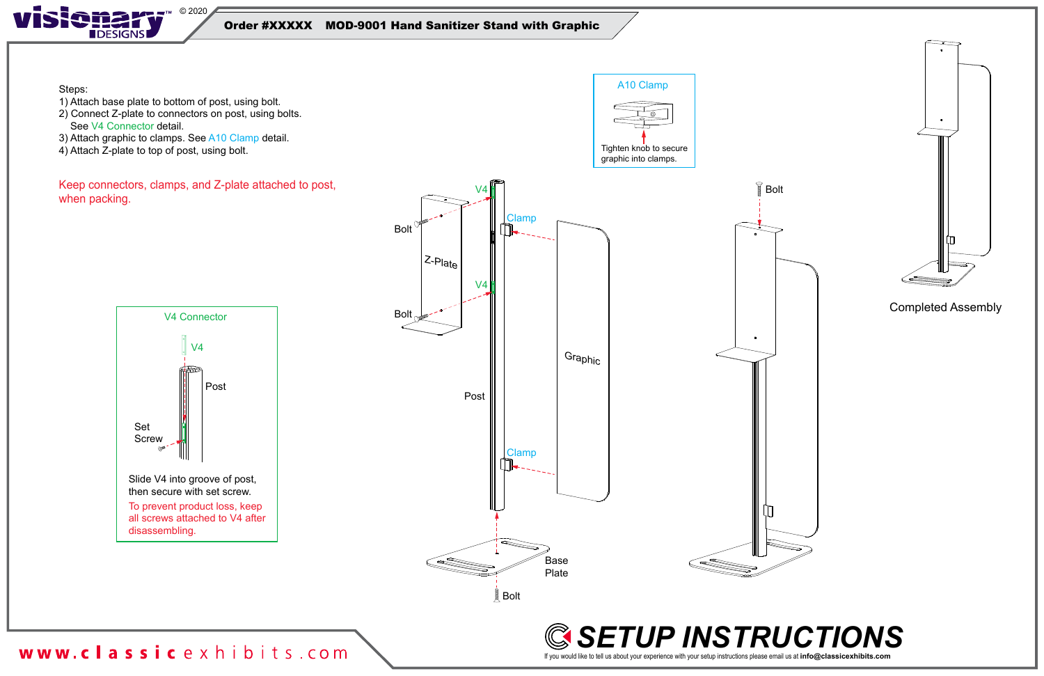

Steps:

- 1) Attach base plate to bottom of post, using bolt.
- 2) Connect Z-plate to connectors on post, using bolts. See V4 Connector detail.
- 3) Attach graphic to clamps. See A10 Clamp detail.
- 4) Attach Z-plate to top of post, using bolt.



#### Order #XXXXX MOD-9001 Hand Sanitizer Stand with Graphic





Keep connectors, clamps, and Z-plate attached to post, when packing.





www.classicexhibits.com